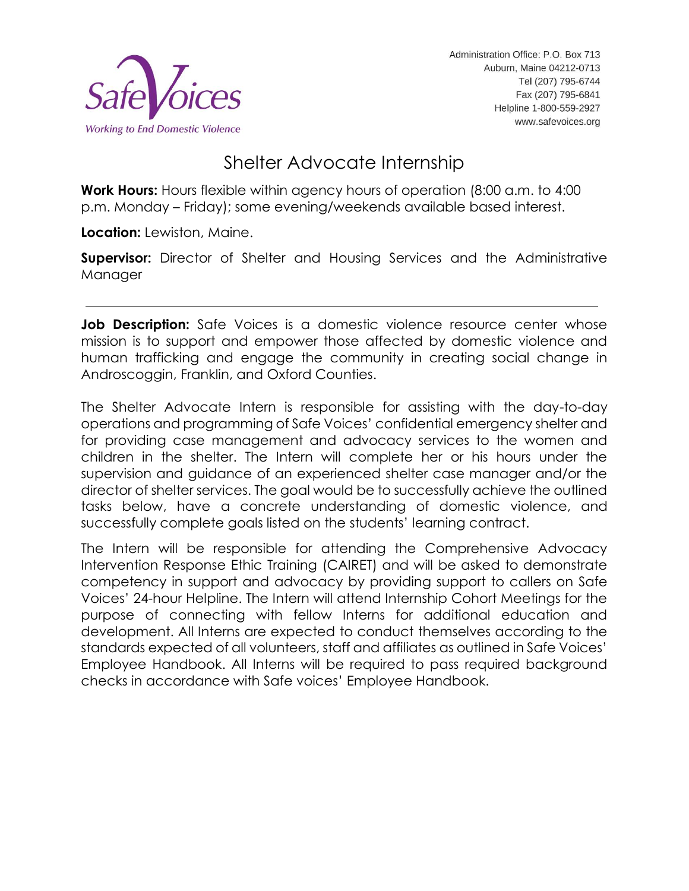

# Shelter Advocate Internship

**Work Hours:** Hours flexible within agency hours of operation (8:00 a.m. to 4:00 p.m. Monday – Friday); some evening/weekends available based interest.

**Location:** Lewiston, Maine.

**Supervisor:** Director of Shelter and Housing Services and the Administrative **Manager** 

**Job Description:** Safe Voices is a domestic violence resource center whose mission is to support and empower those affected by domestic violence and human trafficking and engage the community in creating social change in Androscoggin, Franklin, and Oxford Counties.

The Shelter Advocate Intern is responsible for assisting with the day-to-day operations and programming of Safe Voices' confidential emergency shelter and for providing case management and advocacy services to the women and children in the shelter. The Intern will complete her or his hours under the supervision and guidance of an experienced shelter case manager and/or the director of shelter services. The goal would be to successfully achieve the outlined tasks below, have a concrete understanding of domestic violence, and successfully complete goals listed on the students' learning contract.

The Intern will be responsible for attending the Comprehensive Advocacy Intervention Response Ethic Training (CAIRET) and will be asked to demonstrate competency in support and advocacy by providing support to callers on Safe Voices' 24-hour Helpline. The Intern will attend Internship Cohort Meetings for the purpose of connecting with fellow Interns for additional education and development. All Interns are expected to conduct themselves according to the standards expected of all volunteers, staff and affiliates as outlined in Safe Voices' Employee Handbook. All Interns will be required to pass required background checks in accordance with Safe voices' Employee Handbook.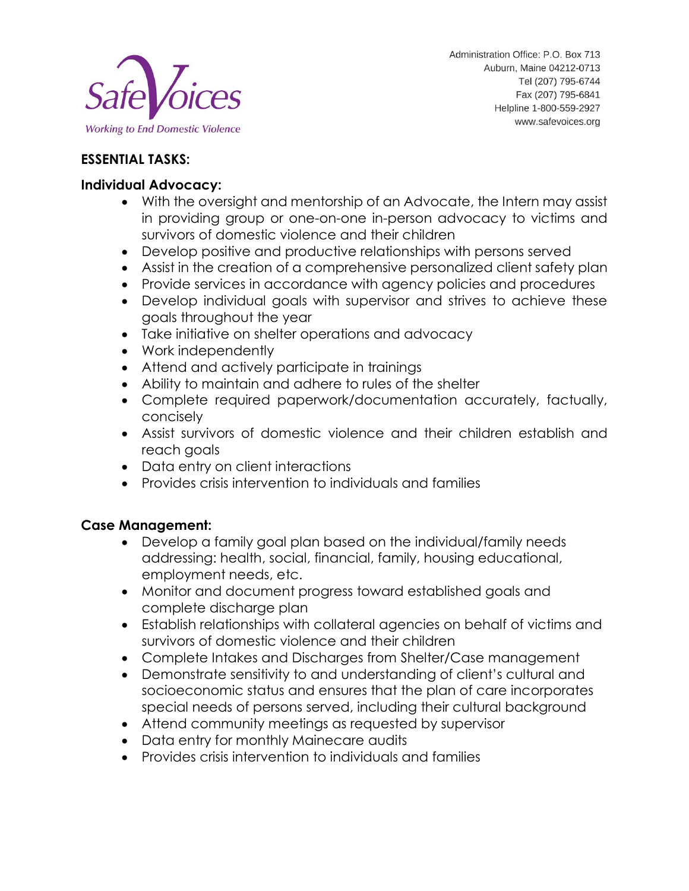

## **ESSENTIAL TASKS:**

#### **Individual Advocacy:**

- With the oversight and mentorship of an Advocate, the Intern may assist in providing group or one-on-one in-person advocacy to victims and survivors of domestic violence and their children
- Develop positive and productive relationships with persons served
- Assist in the creation of a comprehensive personalized client safety plan
- Provide services in accordance with agency policies and procedures
- Develop individual goals with supervisor and strives to achieve these goals throughout the year
- Take initiative on shelter operations and advocacy
- Work independently
- Attend and actively participate in trainings
- Ability to maintain and adhere to rules of the shelter
- Complete required paperwork/documentation accurately, factually, concisely
- Assist survivors of domestic violence and their children establish and reach goals
- Data entry on client interactions
- Provides crisis intervention to individuals and families

### **Case Management:**

- Develop a family goal plan based on the individual/family needs addressing: health, social, financial, family, housing educational, employment needs, etc.
- Monitor and document progress toward established goals and complete discharge plan
- Establish relationships with collateral agencies on behalf of victims and survivors of domestic violence and their children
- Complete Intakes and Discharges from Shelter/Case management
- Demonstrate sensitivity to and understanding of client's cultural and socioeconomic status and ensures that the plan of care incorporates special needs of persons served, including their cultural background
- Attend community meetings as requested by supervisor
- Data entry for monthly Mainecare audits
- Provides crisis intervention to individuals and families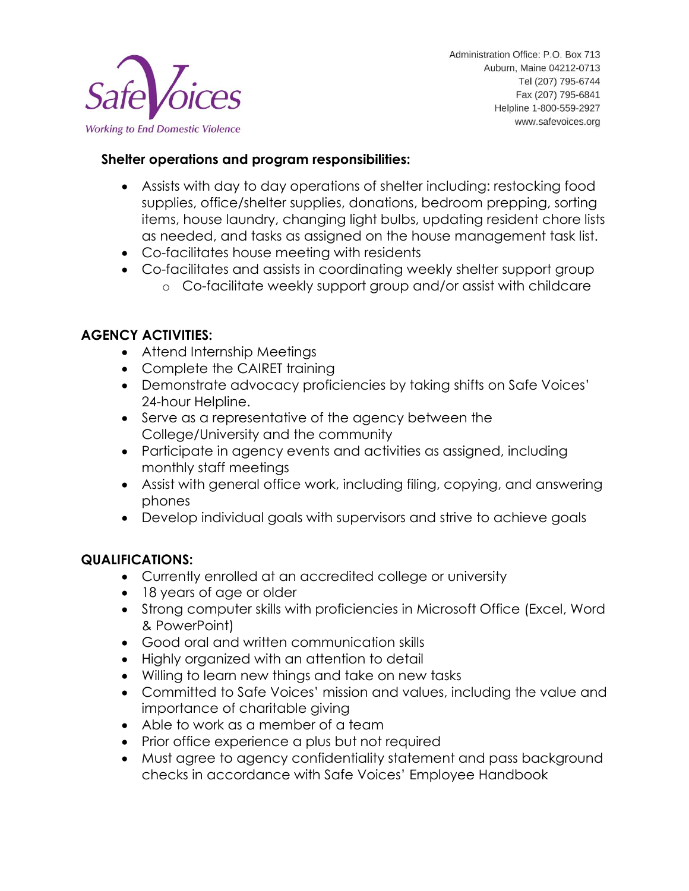

### **Shelter operations and program responsibilities:**

- Assists with day to day operations of shelter including: restocking food supplies, office/shelter supplies, donations, bedroom prepping, sorting items, house laundry, changing light bulbs, updating resident chore lists as needed, and tasks as assigned on the house management task list.
- Co-facilitates house meeting with residents
- Co-facilitates and assists in coordinating weekly shelter support group o Co-facilitate weekly support group and/or assist with childcare

## **AGENCY ACTIVITIES:**

- Attend Internship Meetings
- Complete the CAIRET training
- Demonstrate advocacy proficiencies by taking shifts on Safe Voices' 24-hour Helpline.
- Serve as a representative of the agency between the College/University and the community
- Participate in agency events and activities as assigned, including monthly staff meetings
- Assist with general office work, including filing, copying, and answering phones
- Develop individual goals with supervisors and strive to achieve goals

### **QUALIFICATIONS:**

- Currently enrolled at an accredited college or university
- 18 years of age or older
- Strong computer skills with proficiencies in Microsoft Office (Excel, Word & PowerPoint)
- Good oral and written communication skills
- Highly organized with an attention to detail
- Willing to learn new things and take on new tasks
- Committed to Safe Voices' mission and values, including the value and importance of charitable giving
- Able to work as a member of a team
- Prior office experience a plus but not required
- Must agree to agency confidentiality statement and pass background checks in accordance with Safe Voices' Employee Handbook